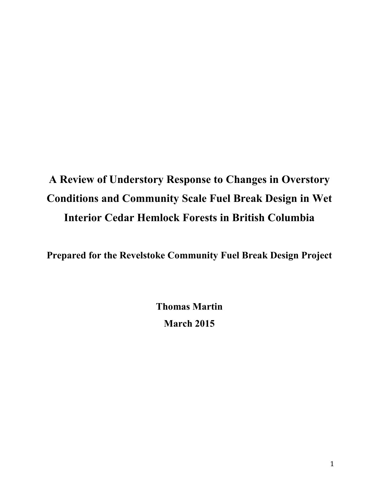# **A Review of Understory Response to Changes in Overstory Conditions and Community Scale Fuel Break Design in Wet Interior Cedar Hemlock Forests in British Columbia**

**Prepared for the Revelstoke Community Fuel Break Design Project**

**Thomas Martin March 2015**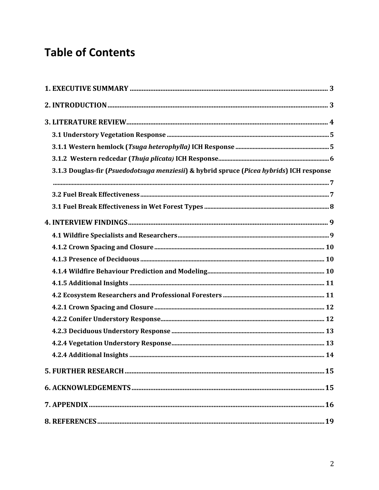# **Table of Contents**

| 3.1.3 Douglas-fir (Psuedodotsuga menziesii) & hybrid spruce (Picea hybrids) ICH response |  |
|------------------------------------------------------------------------------------------|--|
|                                                                                          |  |
|                                                                                          |  |
|                                                                                          |  |
|                                                                                          |  |
|                                                                                          |  |
|                                                                                          |  |
|                                                                                          |  |
|                                                                                          |  |
|                                                                                          |  |
|                                                                                          |  |
|                                                                                          |  |
|                                                                                          |  |
|                                                                                          |  |
|                                                                                          |  |
|                                                                                          |  |
|                                                                                          |  |
|                                                                                          |  |
|                                                                                          |  |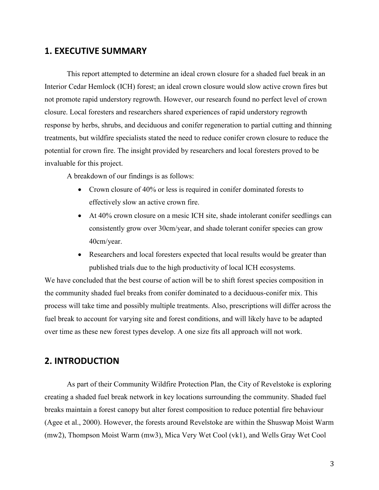## **1. EXECUTIVE SUMMARY**

This report attempted to determine an ideal crown closure for a shaded fuel break in an Interior Cedar Hemlock (ICH) forest; an ideal crown closure would slow active crown fires but not promote rapid understory regrowth. However, our research found no perfect level of crown closure. Local foresters and researchers shared experiences of rapid understory regrowth response by herbs, shrubs, and deciduous and conifer regeneration to partial cutting and thinning treatments, but wildfire specialists stated the need to reduce conifer crown closure to reduce the potential for crown fire. The insight provided by researchers and local foresters proved to be invaluable for this project.

A breakdown of our findings is as follows:

- Crown closure of 40% or less is required in conifer dominated forests to effectively slow an active crown fire.
- At 40% crown closure on a mesic ICH site, shade intolerant conifer seedlings can consistently grow over 30cm/year, and shade tolerant conifer species can grow 40cm/year.
- Researchers and local foresters expected that local results would be greater than published trials due to the high productivity of local ICH ecosystems.

We have concluded that the best course of action will be to shift forest species composition in the community shaded fuel breaks from conifer dominated to a deciduous-conifer mix. This process will take time and possibly multiple treatments. Also, prescriptions will differ across the fuel break to account for varying site and forest conditions, and will likely have to be adapted over time as these new forest types develop. A one size fits all approach will not work.

# **2. INTRODUCTION**

As part of their Community Wildfire Protection Plan, the City of Revelstoke is exploring creating a shaded fuel break network in key locations surrounding the community. Shaded fuel breaks maintain a forest canopy but alter forest composition to reduce potential fire behaviour (Agee et al., 2000). However, the forests around Revelstoke are within the Shuswap Moist Warm (mw2), Thompson Moist Warm (mw3), Mica Very Wet Cool (vk1), and Wells Gray Wet Cool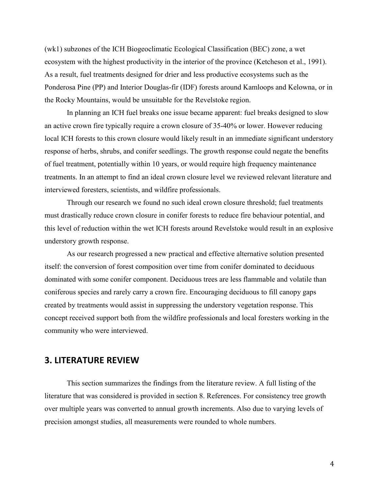(wk1) subzones of the ICH Biogeoclimatic Ecological Classification (BEC) zone, a wet ecosystem with the highest productivity in the interior of the province (Ketcheson et al., 1991). As a result, fuel treatments designed for drier and less productive ecosystems such as the Ponderosa Pine (PP) and Interior Douglas-fir (IDF) forests around Kamloops and Kelowna, or in the Rocky Mountains, would be unsuitable for the Revelstoke region.

In planning an ICH fuel breaks one issue became apparent: fuel breaks designed to slow an active crown fire typically require a crown closure of 35-40% or lower. However reducing local ICH forests to this crown closure would likely result in an immediate significant understory response of herbs, shrubs, and conifer seedlings. The growth response could negate the benefits of fuel treatment, potentially within 10 years, or would require high frequency maintenance treatments. In an attempt to find an ideal crown closure level we reviewed relevant literature and interviewed foresters, scientists, and wildfire professionals.

Through our research we found no such ideal crown closure threshold; fuel treatments must drastically reduce crown closure in conifer forests to reduce fire behaviour potential, and this level of reduction within the wet ICH forests around Revelstoke would result in an explosive understory growth response.

As our research progressed a new practical and effective alternative solution presented itself: the conversion of forest composition over time from conifer dominated to deciduous dominated with some conifer component. Deciduous trees are less flammable and volatile than coniferous species and rarely carry a crown fire. Encouraging deciduous to fill canopy gaps created by treatments would assist in suppressing the understory vegetation response. This concept received support both from the wildfire professionals and local foresters working in the community who were interviewed.

## **3. LITERATURE REVIEW**

This section summarizes the findings from the literature review. A full listing of the literature that was considered is provided in section 8. References. For consistency tree growth over multiple years was converted to annual growth increments. Also due to varying levels of precision amongst studies, all measurements were rounded to whole numbers.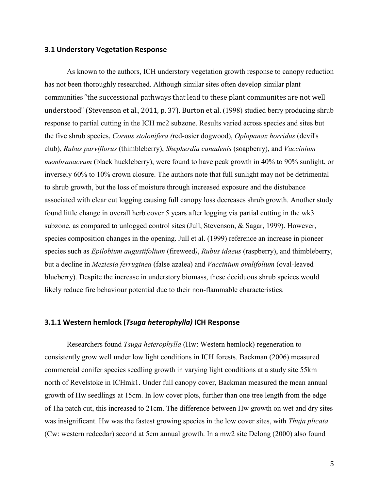#### **3.1 Understory Vegetation Response**

As known to the authors, ICH understory vegetation growth response to canopy reduction has not been thoroughly researched. Although similar sites often develop similar plant communities "the successional pathways that lead to these plant communites are not well understood" (Stevenson et al., 2011, p. 37). Burton et al. (1998) studied berry producing shrub response to partial cutting in the ICH mc2 subzone. Results varied across species and sites but the five shrub species, *Cornus stolonifera (*red-osier dogwood), *Oplopanax horridus* (devil's club), *Rubus parviflorus* (thimbleberry), *Shepherdia canadenis* (soapberry), and *Vaccinium membranaceum* (black huckleberry), were found to have peak growth in 40% to 90% sunlight, or inversely 60% to 10% crown closure. The authors note that full sunlight may not be detrimental to shrub growth, but the loss of moisture through increased exposure and the distubance associated with clear cut logging causing full canopy loss decreases shrub growth. Another study found little change in overall herb cover 5 years after logging via partial cutting in the wk3 subzone, as compared to unlogged control sites (Jull, Stevenson, & Sagar, 1999). However, species composition changes in the opening. Jull et al. (1999) reference an increase in pioneer species such as *Epilobium augustifolium* (fireweed*)*, *Rubus idaeus* (raspberry), and thimbleberry, but a decline in *Meziesia ferruginea* (false azalea) and *Vaccinium ovalifolium* (oval-leaved blueberry). Despite the increase in understory biomass, these deciduous shrub speices would likely reduce fire behaviour potential due to their non-flammable characteristics.

#### **3.1.1 Western hemlock (***Tsuga heterophylla)* **ICH Response**

Researchers found *Tsuga heterophylla* (Hw: Western hemlock) regeneration to consistently grow well under low light conditions in ICH forests. Backman (2006) measured commercial conifer species seedling growth in varying light conditions at a study site 55km north of Revelstoke in ICHmk1. Under full canopy cover, Backman measured the mean annual growth of Hw seedlings at 15cm. In low cover plots, further than one tree length from the edge of 1ha patch cut, this increased to 21cm. The difference between Hw growth on wet and dry sites was insignificant. Hw was the fastest growing species in the low cover sites, with *Thuja plicata*  (Cw: western redcedar) second at 5cm annual growth. In a mw2 site Delong (2000) also found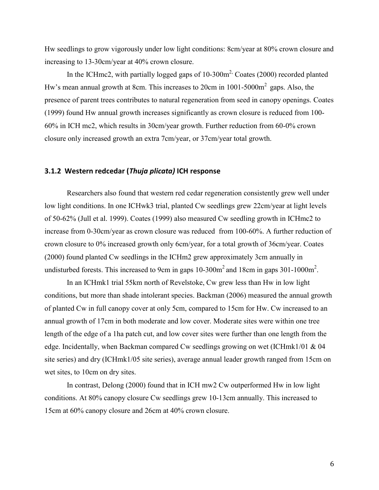Hw seedlings to grow vigorously under low light conditions: 8cm/year at 80% crown closure and increasing to 13-30cm/year at 40% crown closure.

In the ICHmc2, with partially logged gaps of  $10{\text -}300\text{m}^2$ , Coates (2000) recorded planted Hw's mean annual growth at 8cm. This increases to 20cm in  $1001-5000m^2$  gaps. Also, the presence of parent trees contributes to natural regeneration from seed in canopy openings. Coates (1999) found Hw annual growth increases significantly as crown closure is reduced from 100- 60% in ICH mc2, which results in 30cm/year growth. Further reduction from 60-0% crown closure only increased growth an extra 7cm/year, or 37cm/year total growth.

#### **3.1.2 Western redcedar (***Thuja plicata)* **ICH response**

Researchers also found that western red cedar regeneration consistently grew well under low light conditions. In one ICHwk3 trial, planted Cw seedlings grew 22cm/year at light levels of 50-62% (Jull et al. 1999). Coates (1999) also measured Cw seedling growth in ICHmc2 to increase from 0-30cm/year as crown closure was reduced from 100-60%. A further reduction of crown closure to 0% increased growth only 6cm/year, for a total growth of 36cm/year. Coates (2000) found planted Cw seedlings in the ICHm2 grew approximately 3cm annually in undisturbed forests. This increased to 9cm in gaps  $10-300m^2$  and 18cm in gaps  $301-1000m^2$ .

In an ICHmk1 trial 55km north of Revelstoke, Cw grew less than Hw in low light conditions, but more than shade intolerant species. Backman (2006) measured the annual growth of planted Cw in full canopy cover at only 5cm, compared to 15cm for Hw. Cw increased to an annual growth of 17cm in both moderate and low cover. Moderate sites were within one tree length of the edge of a 1ha patch cut, and low cover sites were further than one length from the edge. Incidentally, when Backman compared Cw seedlings growing on wet (ICHmk1/01 & 04 site series) and dry (ICHmk1/05 site series), average annual leader growth ranged from 15cm on wet sites, to 10cm on dry sites.

In contrast, Delong (2000) found that in ICH mw2 Cw outperformed Hw in low light conditions. At 80% canopy closure Cw seedlings grew 10-13cm annually. This increased to 15cm at 60% canopy closure and 26cm at 40% crown closure.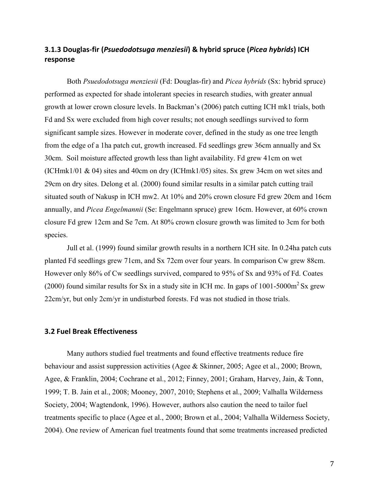# **3.1.3 Douglas-fir (***Psuedodotsuga menziesii***) & hybrid spruce (***Picea hybrids***) ICH response**

Both *Psuedodotsuga menziesii* (Fd: Douglas-fir) and *Picea hybrids* (Sx: hybrid spruce) performed as expected for shade intolerant species in research studies, with greater annual growth at lower crown closure levels. In Backman's (2006) patch cutting ICH mk1 trials, both Fd and Sx were excluded from high cover results; not enough seedlings survived to form significant sample sizes. However in moderate cover, defined in the study as one tree length from the edge of a 1ha patch cut, growth increased. Fd seedlings grew 36cm annually and Sx 30cm. Soil moisture affected growth less than light availability. Fd grew 41cm on wet (ICHmk1/01 & 04) sites and 40cm on dry (ICHmk1/05) sites. Sx grew 34cm on wet sites and 29cm on dry sites. Delong et al. (2000) found similar results in a similar patch cutting trail situated south of Nakusp in ICH mw2. At 10% and 20% crown closure Fd grew 20cm and 16cm annually, and *Picea Engelmannii* (Se: Engelmann spruce) grew 16cm. However, at 60% crown closure Fd grew 12cm and Se 7cm. At 80% crown closure growth was limited to 3cm for both species.

Jull et al. (1999) found similar growth results in a northern ICH site. In 0.24ha patch cuts planted Fd seedlings grew 71cm, and Sx 72cm over four years. In comparison Cw grew 88cm. However only 86% of Cw seedlings survived, compared to 95% of Sx and 93% of Fd. Coates (2000) found similar results for Sx in a study site in ICH mc. In gaps of  $1001-5000m^2$  Sx grew 22cm/yr, but only 2cm/yr in undisturbed forests. Fd was not studied in those trials.

#### **3.2 Fuel Break Effectiveness**

Many authors studied fuel treatments and found effective treatments reduce fire behaviour and assist suppression activities (Agee & Skinner, 2005; Agee et al., 2000; Brown, Agee, & Franklin, 2004; Cochrane et al., 2012; Finney, 2001; Graham, Harvey, Jain, & Tonn, 1999; T. B. Jain et al., 2008; Mooney, 2007, 2010; Stephens et al., 2009; Valhalla Wilderness Society, 2004; Wagtendonk, 1996). However, authors also caution the need to tailor fuel treatments specific to place (Agee et al., 2000; Brown et al., 2004; Valhalla Wilderness Society, 2004). One review of American fuel treatments found that some treatments increased predicted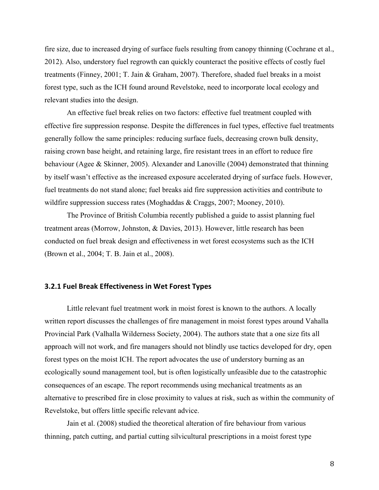fire size, due to increased drying of surface fuels resulting from canopy thinning (Cochrane et al., 2012). Also, understory fuel regrowth can quickly counteract the positive effects of costly fuel treatments (Finney, 2001; T. Jain & Graham, 2007). Therefore, shaded fuel breaks in a moist forest type, such as the ICH found around Revelstoke, need to incorporate local ecology and relevant studies into the design.

An effective fuel break relies on two factors: effective fuel treatment coupled with effective fire suppression response. Despite the differences in fuel types, effective fuel treatments generally follow the same principles: reducing surface fuels, decreasing crown bulk density, raising crown base height, and retaining large, fire resistant trees in an effort to reduce fire behaviour (Agee & Skinner, 2005). Alexander and Lanoville (2004) demonstrated that thinning by itself wasn't effective as the increased exposure accelerated drying of surface fuels. However, fuel treatments do not stand alone; fuel breaks aid fire suppression activities and contribute to wildfire suppression success rates (Moghaddas & Craggs, 2007; Mooney, 2010).

The Province of British Columbia recently published a guide to assist planning fuel treatment areas (Morrow, Johnston, & Davies, 2013). However, little research has been conducted on fuel break design and effectiveness in wet forest ecosystems such as the ICH (Brown et al., 2004; T. B. Jain et al., 2008).

#### **3.2.1 Fuel Break Effectiveness in Wet Forest Types**

Little relevant fuel treatment work in moist forest is known to the authors. A locally written report discusses the challenges of fire management in moist forest types around Vahalla Provincial Park (Valhalla Wilderness Society, 2004). The authors state that a one size fits all approach will not work, and fire managers should not blindly use tactics developed for dry, open forest types on the moist ICH. The report advocates the use of understory burning as an ecologically sound management tool, but is often logistically unfeasible due to the catastrophic consequences of an escape. The report recommends using mechanical treatments as an alternative to prescribed fire in close proximity to values at risk, such as within the community of Revelstoke, but offers little specific relevant advice.

Jain et al. (2008) studied the theoretical alteration of fire behaviour from various thinning, patch cutting, and partial cutting silvicultural prescriptions in a moist forest type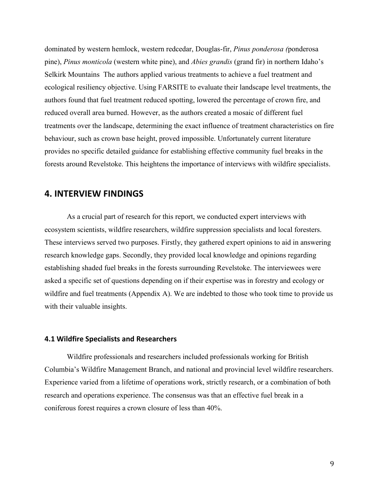dominated by western hemlock, western redcedar, Douglas-fir, *Pinus ponderosa (*ponderosa pine), *Pinus monticola* (western white pine), and *Abies grandis* (grand fir) in northern Idaho's Selkirk Mountains The authors applied various treatments to achieve a fuel treatment and ecological resiliency objective. Using FARSITE to evaluate their landscape level treatments, the authors found that fuel treatment reduced spotting, lowered the percentage of crown fire, and reduced overall area burned. However, as the authors created a mosaic of different fuel treatments over the landscape, determining the exact influence of treatment characteristics on fire behaviour, such as crown base height, proved impossible. Unfortunately current literature provides no specific detailed guidance for establishing effective community fuel breaks in the forests around Revelstoke. This heightens the importance of interviews with wildfire specialists.

## **4. INTERVIEW FINDINGS**

As a crucial part of research for this report, we conducted expert interviews with ecosystem scientists, wildfire researchers, wildfire suppression specialists and local foresters. These interviews served two purposes. Firstly, they gathered expert opinions to aid in answering research knowledge gaps. Secondly, they provided local knowledge and opinions regarding establishing shaded fuel breaks in the forests surrounding Revelstoke. The interviewees were asked a specific set of questions depending on if their expertise was in forestry and ecology or wildfire and fuel treatments (Appendix A). We are indebted to those who took time to provide us with their valuable insights.

#### **4.1 Wildfire Specialists and Researchers**

Wildfire professionals and researchers included professionals working for British Columbia's Wildfire Management Branch, and national and provincial level wildfire researchers. Experience varied from a lifetime of operations work, strictly research, or a combination of both research and operations experience. The consensus was that an effective fuel break in a coniferous forest requires a crown closure of less than 40%.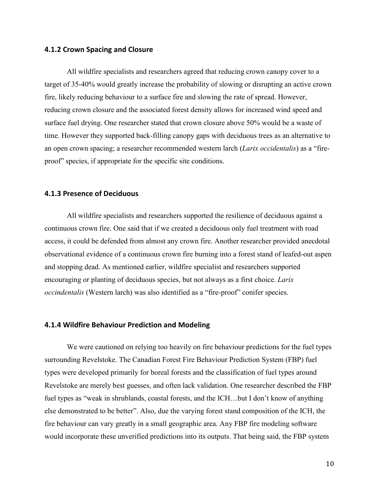#### **4.1.2 Crown Spacing and Closure**

All wildfire specialists and researchers agreed that reducing crown canopy cover to a target of 35-40% would greatly increase the probability of slowing or disrupting an active crown fire, likely reducing behaviour to a surface fire and slowing the rate of spread. However, reducing crown closure and the associated forest density allows for increased wind speed and surface fuel drying. One researcher stated that crown closure above 50% would be a waste of time. However they supported back-filling canopy gaps with deciduous trees as an alternative to an open crown spacing; a researcher recommended western larch (*Larix occidentalis*) as a "fireproof" species, if appropriate for the specific site conditions.

#### **4.1.3 Presence of Deciduous**

All wildfire specialists and researchers supported the resilience of deciduous against a continuous crown fire. One said that if we created a deciduous only fuel treatment with road access, it could be defended from almost any crown fire. Another researcher provided anecdotal observational evidence of a continuous crown fire burning into a forest stand of leafed-out aspen and stopping dead. As mentioned earlier, wildfire specialist and researchers supported encouraging or planting of deciduous species, but not always as a first choice. *Larix occindentalis* (Western larch) was also identified as a "fire-proof" conifer species.

#### **4.1.4 Wildfire Behaviour Prediction and Modeling**

We were cautioned on relying too heavily on fire behaviour predictions for the fuel types surrounding Revelstoke. The Canadian Forest Fire Behaviour Prediction System (FBP) fuel types were developed primarily for boreal forests and the classification of fuel types around Revelstoke are merely best guesses, and often lack validation. One researcher described the FBP fuel types as "weak in shrublands, coastal forests, and the ICH...but I don't know of anything else demonstrated to be better". Also, due the varying forest stand composition of the ICH, the fire behaviour can vary greatly in a small geographic area. Any FBP fire modeling software would incorporate these unverified predictions into its outputs. That being said, the FBP system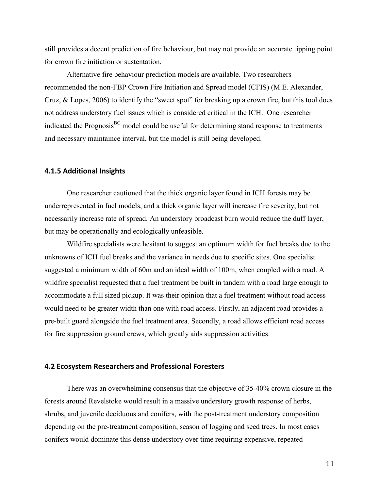still provides a decent prediction of fire behaviour, but may not provide an accurate tipping point for crown fire initiation or sustentation.

Alternative fire behaviour prediction models are available. Two researchers recommended the non-FBP Crown Fire Initiation and Spread model (CFIS) (M.E. Alexander, Cruz, & Lopes, 2006) to identify the "sweet spot" for breaking up a crown fire, but this tool does not address understory fuel issues which is considered critical in the ICH. One researcher indicated the Prognosis<sup>BC</sup> model could be useful for determining stand response to treatments and necessary maintaince interval, but the model is still being developed.

#### **4.1.5 Additional Insights**

One researcher cautioned that the thick organic layer found in ICH forests may be underrepresented in fuel models, and a thick organic layer will increase fire severity, but not necessarily increase rate of spread. An understory broadcast burn would reduce the duff layer, but may be operationally and ecologically unfeasible.

Wildfire specialists were hesitant to suggest an optimum width for fuel breaks due to the unknowns of ICH fuel breaks and the variance in needs due to specific sites. One specialist suggested a minimum width of 60m and an ideal width of 100m, when coupled with a road. A wildfire specialist requested that a fuel treatment be built in tandem with a road large enough to accommodate a full sized pickup. It was their opinion that a fuel treatment without road access would need to be greater width than one with road access. Firstly, an adjacent road provides a pre-built guard alongside the fuel treatment area. Secondly, a road allows efficient road access for fire suppression ground crews, which greatly aids suppression activities.

### **4.2 Ecosystem Researchers and Professional Foresters**

There was an overwhelming consensus that the objective of 35-40% crown closure in the forests around Revelstoke would result in a massive understory growth response of herbs, shrubs, and juvenile deciduous and conifers, with the post-treatment understory composition depending on the pre-treatment composition, season of logging and seed trees. In most cases conifers would dominate this dense understory over time requiring expensive, repeated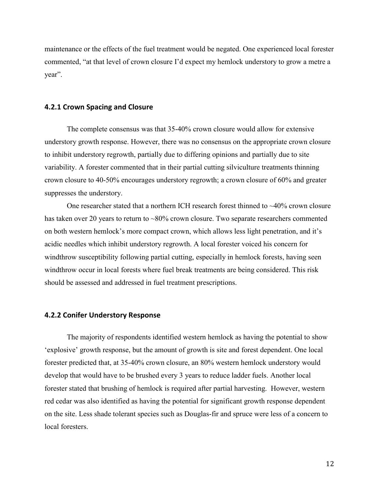maintenance or the effects of the fuel treatment would be negated. One experienced local forester commented, "at that level of crown closure I'd expect my hemlock understory to grow a metre a year".

#### **4.2.1 Crown Spacing and Closure**

The complete consensus was that 35-40% crown closure would allow for extensive understory growth response. However, there was no consensus on the appropriate crown closure to inhibit understory regrowth, partially due to differing opinions and partially due to site variability. A forester commented that in their partial cutting silviculture treatments thinning crown closure to 40-50% encourages understory regrowth; a crown closure of 60% and greater suppresses the understory.

One researcher stated that a northern ICH research forest thinned to  $\sim$ 40% crown closure has taken over 20 years to return to ~80% crown closure. Two separate researchers commented on both western hemlock's more compact crown, which allows less light penetration, and it's acidic needles which inhibit understory regrowth. A local forester voiced his concern for windthrow susceptibility following partial cutting, especially in hemlock forests, having seen windthrow occur in local forests where fuel break treatments are being considered. This risk should be assessed and addressed in fuel treatment prescriptions.

#### **4.2.2 Conifer Understory Response**

The majority of respondents identified western hemlock as having the potential to show 'explosive' growth response, but the amount of growth is site and forest dependent. One local forester predicted that, at 35-40% crown closure, an 80% western hemlock understory would develop that would have to be brushed every 3 years to reduce ladder fuels. Another local forester stated that brushing of hemlock is required after partial harvesting. However, western red cedar was also identified as having the potential for significant growth response dependent on the site. Less shade tolerant species such as Douglas-fir and spruce were less of a concern to local foresters.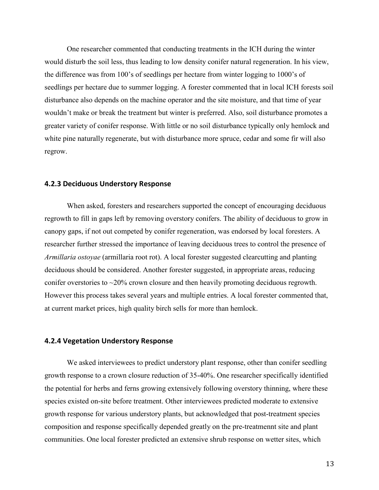One researcher commented that conducting treatments in the ICH during the winter would disturb the soil less, thus leading to low density conifer natural regeneration. In his view, the difference was from 100's of seedlings per hectare from winter logging to 1000's of seedlings per hectare due to summer logging. A forester commented that in local ICH forests soil disturbance also depends on the machine operator and the site moisture, and that time of year wouldn't make or break the treatment but winter is preferred. Also, soil disturbance promotes a greater variety of conifer response. With little or no soil disturbance typically only hemlock and white pine naturally regenerate, but with disturbance more spruce, cedar and some fir will also regrow.

#### **4.2.3 Deciduous Understory Response**

When asked, foresters and researchers supported the concept of encouraging deciduous regrowth to fill in gaps left by removing overstory conifers. The ability of deciduous to grow in canopy gaps, if not out competed by conifer regeneration, was endorsed by local foresters. A researcher further stressed the importance of leaving deciduous trees to control the presence of *Armillaria ostoyae* (armillaria root rot). A local forester suggested clearcutting and planting deciduous should be considered. Another forester suggested, in appropriate areas, reducing conifer overstories to ~20% crown closure and then heavily promoting deciduous regrowth. However this process takes several years and multiple entries. A local forester commented that, at current market prices, high quality birch sells for more than hemlock.

#### **4.2.4 Vegetation Understory Response**

We asked interviewees to predict understory plant response, other than conifer seedling growth response to a crown closure reduction of 35-40%. One researcher specifically identified the potential for herbs and ferns growing extensively following overstory thinning, where these species existed on-site before treatment. Other interviewees predicted moderate to extensive growth response for various understory plants, but acknowledged that post-treatment species composition and response specifically depended greatly on the pre-treatmennt site and plant communities. One local forester predicted an extensive shrub response on wetter sites, which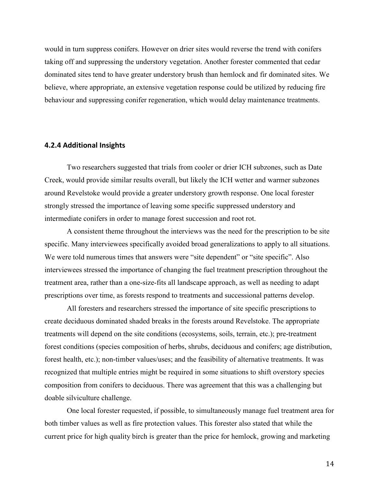would in turn suppress conifers. However on drier sites would reverse the trend with conifers taking off and suppressing the understory vegetation. Another forester commented that cedar dominated sites tend to have greater understory brush than hemlock and fir dominated sites. We believe, where appropriate, an extensive vegetation response could be utilized by reducing fire behaviour and suppressing conifer regeneration, which would delay maintenance treatments.

#### **4.2.4 Additional Insights**

Two researchers suggested that trials from cooler or drier ICH subzones, such as Date Creek, would provide similar results overall, but likely the ICH wetter and warmer subzones around Revelstoke would provide a greater understory growth response. One local forester strongly stressed the importance of leaving some specific suppressed understory and intermediate conifers in order to manage forest succession and root rot.

A consistent theme throughout the interviews was the need for the prescription to be site specific. Many interviewees specifically avoided broad generalizations to apply to all situations. We were told numerous times that answers were "site dependent" or "site specific". Also interviewees stressed the importance of changing the fuel treatment prescription throughout the treatment area, rather than a one-size-fits all landscape approach, as well as needing to adapt prescriptions over time, as forests respond to treatments and successional patterns develop.

All foresters and researchers stressed the importance of site specific prescriptions to create deciduous dominated shaded breaks in the forests around Revelstoke. The appropriate treatments will depend on the site conditions (ecosystems, soils, terrain, etc.); pre-treatment forest conditions (species composition of herbs, shrubs, deciduous and conifers; age distribution, forest health, etc.); non-timber values/uses; and the feasibility of alternative treatments. It was recognized that multiple entries might be required in some situations to shift overstory species composition from conifers to deciduous. There was agreement that this was a challenging but doable silviculture challenge.

One local forester requested, if possible, to simultaneously manage fuel treatment area for both timber values as well as fire protection values. This forester also stated that while the current price for high quality birch is greater than the price for hemlock, growing and marketing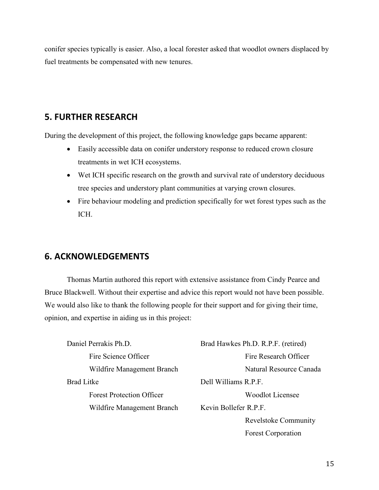conifer species typically is easier. Also, a local forester asked that woodlot owners displaced by fuel treatments be compensated with new tenures.

# **5. FURTHER RESEARCH**

During the development of this project, the following knowledge gaps became apparent:

- Easily accessible data on conifer understory response to reduced crown closure treatments in wet ICH ecosystems.
- Wet ICH specific research on the growth and survival rate of understory deciduous tree species and understory plant communities at varying crown closures.
- Fire behaviour modeling and prediction specifically for wet forest types such as the ICH.

# **6. ACKNOWLEDGEMENTS**

Thomas Martin authored this report with extensive assistance from Cindy Pearce and Bruce Blackwell. Without their expertise and advice this report would not have been possible. We would also like to thank the following people for their support and for giving their time, opinion, and expertise in aiding us in this project:

| Daniel Perrakis Ph.D.            | Brad Hawkes Ph.D. R.P.F. (retired) |
|----------------------------------|------------------------------------|
| Fire Science Officer             | Fire Research Officer              |
| Wildfire Management Branch       | Natural Resource Canada            |
| <b>Brad Litke</b>                | Dell Williams R.P.F.               |
| <b>Forest Protection Officer</b> | <b>Woodlot Licensee</b>            |
| Wildfire Management Branch       | Kevin Bollefer R.P.F.              |
|                                  | <b>Revelstoke Community</b>        |
|                                  | <b>Forest Corporation</b>          |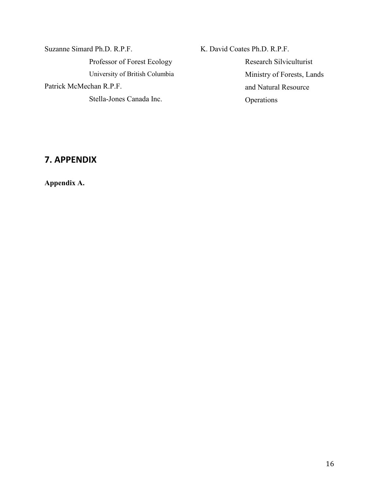Suzanne Simard Ph.D. R.P.F. Professor of Forest Ecology University of British Columbia Patrick McMechan R.P.F. Stella-Jones Canada Inc.

K. David Coates Ph.D. R.P.F. Research Silviculturist Ministry of Forests, Lands and Natural Resource Operations

# **7. APPENDIX**

**Appendix A.**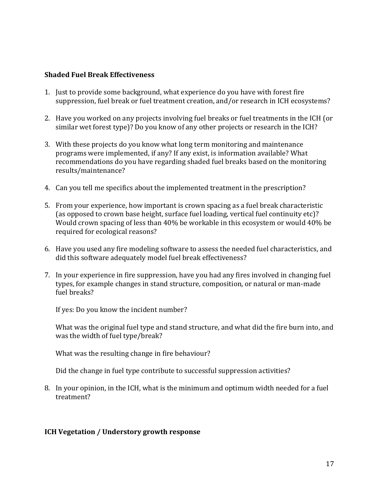### **Shaded Fuel Break Effectiveness**

- 1. Just to provide some background, what experience do you have with forest fire suppression, fuel break or fuel treatment creation, and/or research in ICH ecosystems?
- 2. Have you worked on any projects involving fuel breaks or fuel treatments in the ICH (or similar wet forest type)? Do you know of any other projects or research in the ICH?
- 3. With these projects do you know what long term monitoring and maintenance programs were implemented, if any? If any exist, is information available? What recommendations do you have regarding shaded fuel breaks based on the monitoring results/maintenance?
- 4. Can you tell me specifics about the implemented treatment in the prescription?
- 5. From your experience, how important is crown spacing as a fuel break characteristic (as opposed to crown base height, surface fuel loading, vertical fuel continuity etc)? Would crown spacing of less than 40% be workable in this ecosystem or would 40% be required for ecological reasons?
- 6. Have you used any fire modeling software to assess the needed fuel characteristics, and did this software adequately model fuel break effectiveness?
- 7. In your experience in fire suppression, have you had any fires involved in changing fuel types, for example changes in stand structure, composition, or natural or man-made fuel breaks?

If yes: Do you know the incident number?

What was the original fuel type and stand structure, and what did the fire burn into, and was the width of fuel type/break?

What was the resulting change in fire behaviour?

Did the change in fuel type contribute to successful suppression activities?

8. In your opinion, in the ICH, what is the minimum and optimum width needed for a fuel treatment?

## **ICH Vegetation / Understory growth response**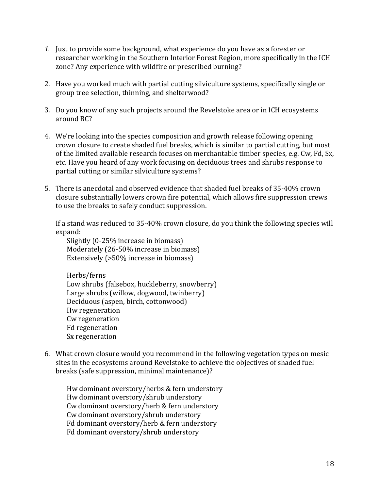- *1.* Just to provide some background, what experience do you have as a forester or researcher working in the Southern Interior Forest Region, more specifically in the ICH zone? Any experience with wildfire or prescribed burning?
- 2. Have you worked much with partial cutting silviculture systems, specifically single or group tree selection, thinning, and shelterwood?
- 3. Do you know of any such projects around the Revelstoke area or in ICH ecosystems around BC?
- 4. We're looking into the species composition and growth release following opening crown closure to create shaded fuel breaks, which is similar to partial cutting, but most of the limited available research focuses on merchantable timber species, e.g. Cw, Fd, Sx, etc. Have you heard of any work focusing on deciduous trees and shrubs response to partial cutting or similar silviculture systems?
- 5. There is anecdotal and observed evidence that shaded fuel breaks of 35-40% crown closure substantially lowers crown fire potential, which allows fire suppression crews to use the breaks to safely conduct suppression.

If a stand was reduced to 35-40% crown closure, do you think the following species will expand:

Slightly (0-25% increase in biomass) Moderately (26-50% increase in biomass) Extensively (>50% increase in biomass)

Herbs/ferns Low shrubs (falsebox, huckleberry, snowberry) Large shrubs (willow, dogwood, twinberry) Deciduous (aspen, birch, cottonwood) Hw regeneration Cw regeneration Fd regeneration Sx regeneration

6. What crown closure would you recommend in the following vegetation types on mesic sites in the ecosystems around Revelstoke to achieve the objectives of shaded fuel breaks (safe suppression, minimal maintenance)?

Hw dominant overstory/herbs & fern understory Hw dominant overstory/shrub understory Cw dominant overstory/herb & fern understory Cw dominant overstory/shrub understory Fd dominant overstory/herb & fern understory Fd dominant overstory/shrub understory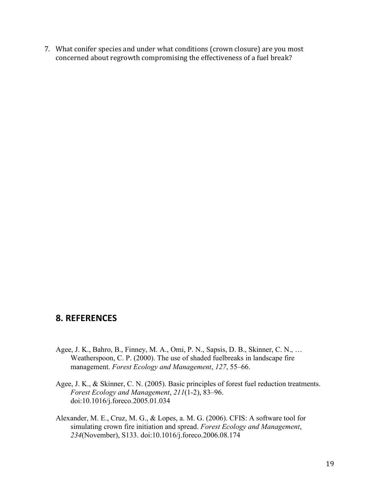7. What conifer species and under what conditions (crown closure) are you most concerned about regrowth compromising the effectiveness of a fuel break?

# **8. REFERENCES**

- Agee, J. K., Bahro, B., Finney, M. A., Omi, P. N., Sapsis, D. B., Skinner, C. N., … Weatherspoon, C. P. (2000). The use of shaded fuelbreaks in landscape fire management. *Forest Ecology and Management*, *127*, 55–66.
- Agee, J. K., & Skinner, C. N. (2005). Basic principles of forest fuel reduction treatments. *Forest Ecology and Management*, *211*(1-2), 83–96. doi:10.1016/j.foreco.2005.01.034
- Alexander, M. E., Cruz, M. G., & Lopes, a. M. G. (2006). CFIS: A software tool for simulating crown fire initiation and spread. *Forest Ecology and Management*, *234*(November), S133. doi:10.1016/j.foreco.2006.08.174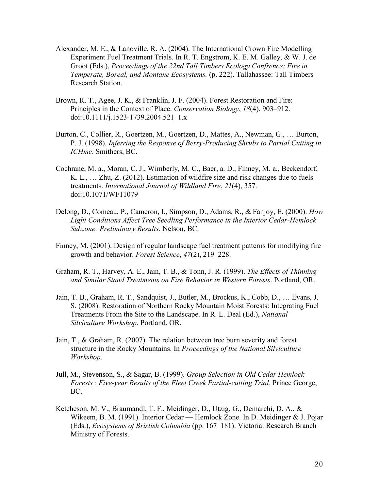- Alexander, M. E., & Lanoville, R. A. (2004). The International Crown Fire Modelling Experiment Fuel Treatment Trials. In R. T. Engstrom, K. E. M. Galley, & W. J. de Groot (Eds.), *Proceedings of the 22nd Tall Timbers Ecology Confrence: Fire in Temperate, Boreal, and Montane Ecosystems.* (p. 222). Tallahassee: Tall Timbers Research Station.
- Brown, R. T., Agee, J. K., & Franklin, J. F. (2004). Forest Restoration and Fire: Principles in the Context of Place. *Conservation Biology*, *18*(4), 903–912. doi:10.1111/j.1523-1739.2004.521\_1.x
- Burton, C., Collier, R., Goertzen, M., Goertzen, D., Mattes, A., Newman, G., … Burton, P. J. (1998). *Inferring the Response of Berry-Producing Shrubs to Partial Cutting in ICHmc*. Smithers, BC.
- Cochrane, M. a., Moran, C. J., Wimberly, M. C., Baer, a. D., Finney, M. a., Beckendorf, K. L., … Zhu, Z. (2012). Estimation of wildfire size and risk changes due to fuels treatments. *International Journal of Wildland Fire*, *21*(4), 357. doi:10.1071/WF11079
- Delong, D., Comeau, P., Cameron, I., Simpson, D., Adams, R., & Fanjoy, E. (2000). *How Light Conditions Affect Tree Seedling Performance in the Interior Cedar-Hemlock Subzone: Preliminary Results*. Nelson, BC.
- Finney, M. (2001). Design of regular landscape fuel treatment patterns for modifying fire growth and behavior. *Forest Science*, *47*(2), 219–228.
- Graham, R. T., Harvey, A. E., Jain, T. B., & Tonn, J. R. (1999). *The Effects of Thinning and Similar Stand Treatments on Fire Behavior in Western Forests*. Portland, OR.
- Jain, T. B., Graham, R. T., Sandquist, J., Butler, M., Brockus, K., Cobb, D., … Evans, J. S. (2008). Restoration of Northern Rocky Mountain Moist Forests: Integrating Fuel Treatments From the Site to the Landscape. In R. L. Deal (Ed.), *National Silviculture Workshop*. Portland, OR.
- Jain, T., & Graham, R. (2007). The relation between tree burn severity and forest structure in the Rocky Mountains. In *Proceedings of the National Silviculture Workshop*.
- Jull, M., Stevenson, S., & Sagar, B. (1999). *Group Selection in Old Cedar Hemlock Forests : Five-year Results of the Fleet Creek Partial-cutting Trial*. Prince George, BC.
- Ketcheson, M. V., Braumandl, T. F., Meidinger, D., Utzig, G., Demarchi, D. A., & Wikeem, B. M. (1991). Interior Cedar — Hemlock Zone. In D. Meidinger & J. Pojar (Eds.), *Ecosystems of Bristish Columbia* (pp. 167–181). Victoria: Research Branch Ministry of Forests.